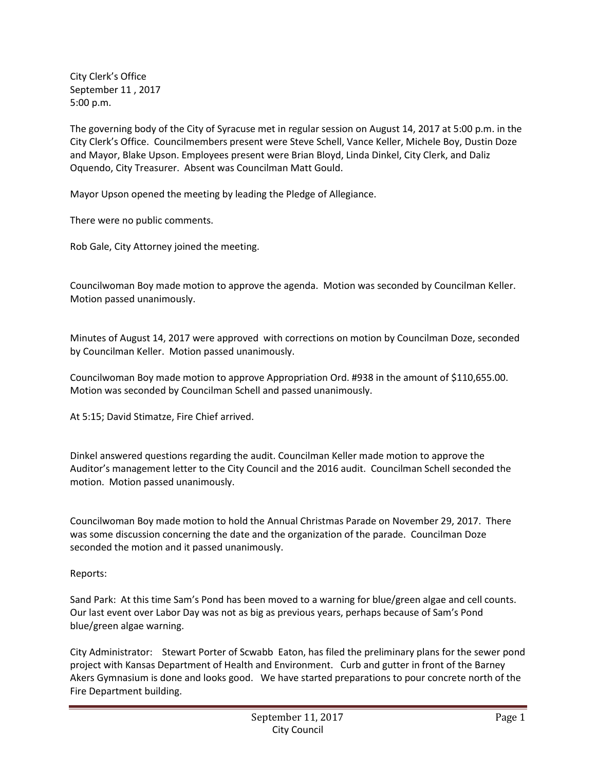City Clerk's Office September 11 , 2017 5:00 p.m.

The governing body of the City of Syracuse met in regular session on August 14, 2017 at 5:00 p.m. in the City Clerk's Office. Councilmembers present were Steve Schell, Vance Keller, Michele Boy, Dustin Doze and Mayor, Blake Upson. Employees present were Brian Bloyd, Linda Dinkel, City Clerk, and Daliz Oquendo, City Treasurer. Absent was Councilman Matt Gould.

Mayor Upson opened the meeting by leading the Pledge of Allegiance.

There were no public comments.

Rob Gale, City Attorney joined the meeting.

Councilwoman Boy made motion to approve the agenda. Motion was seconded by Councilman Keller. Motion passed unanimously.

Minutes of August 14, 2017 were approved with corrections on motion by Councilman Doze, seconded by Councilman Keller. Motion passed unanimously.

Councilwoman Boy made motion to approve Appropriation Ord. #938 in the amount of \$110,655.00. Motion was seconded by Councilman Schell and passed unanimously.

At 5:15; David Stimatze, Fire Chief arrived.

Dinkel answered questions regarding the audit. Councilman Keller made motion to approve the Auditor's management letter to the City Council and the 2016 audit. Councilman Schell seconded the motion. Motion passed unanimously.

Councilwoman Boy made motion to hold the Annual Christmas Parade on November 29, 2017. There was some discussion concerning the date and the organization of the parade. Councilman Doze seconded the motion and it passed unanimously.

## Reports:

Sand Park: At this time Sam's Pond has been moved to a warning for blue/green algae and cell counts. Our last event over Labor Day was not as big as previous years, perhaps because of Sam's Pond blue/green algae warning.

City Administrator: Stewart Porter of Scwabb Eaton, has filed the preliminary plans for the sewer pond project with Kansas Department of Health and Environment. Curb and gutter in front of the Barney Akers Gymnasium is done and looks good. We have started preparations to pour concrete north of the Fire Department building.